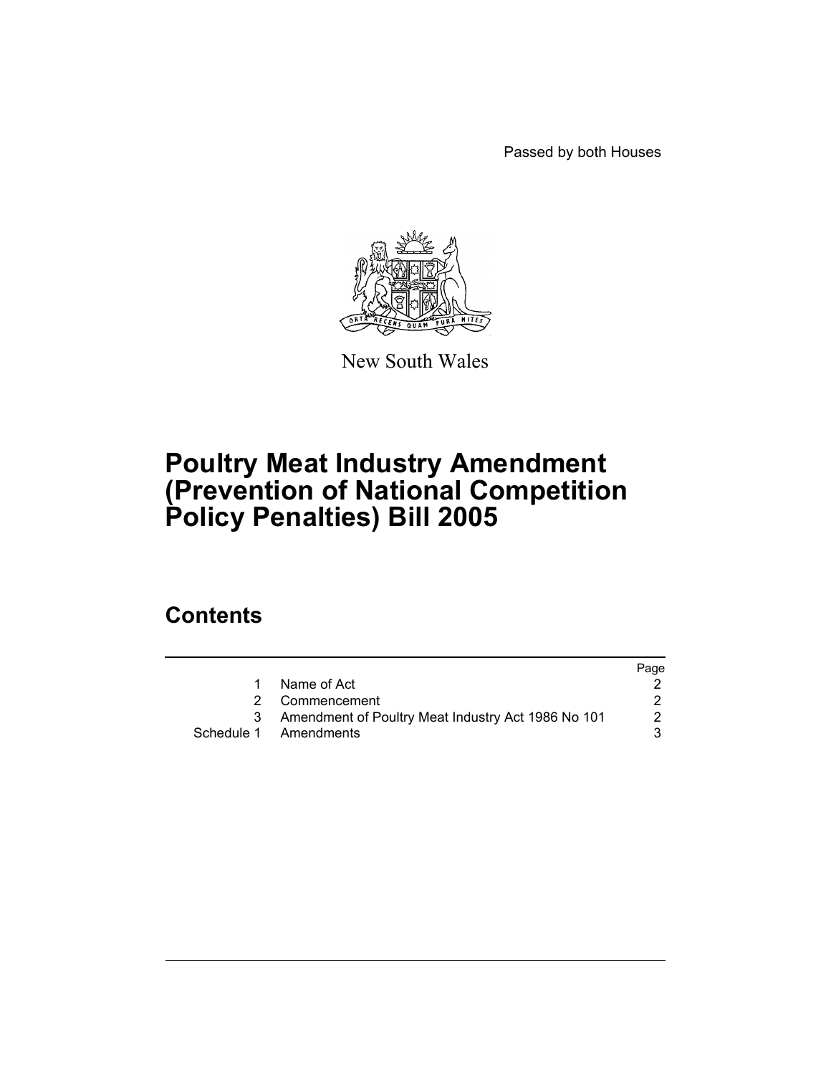Passed by both Houses



New South Wales

## **Poultry Meat Industry Amendment (Prevention of National Competition Policy Penalties) Bill 2005**

## **Contents**

|                                                    | Page                                    |
|----------------------------------------------------|-----------------------------------------|
| Name of Act                                        |                                         |
|                                                    |                                         |
| Amendment of Poultry Meat Industry Act 1986 No 101 |                                         |
|                                                    |                                         |
|                                                    | 2 Commencement<br>Schedule 1 Amendments |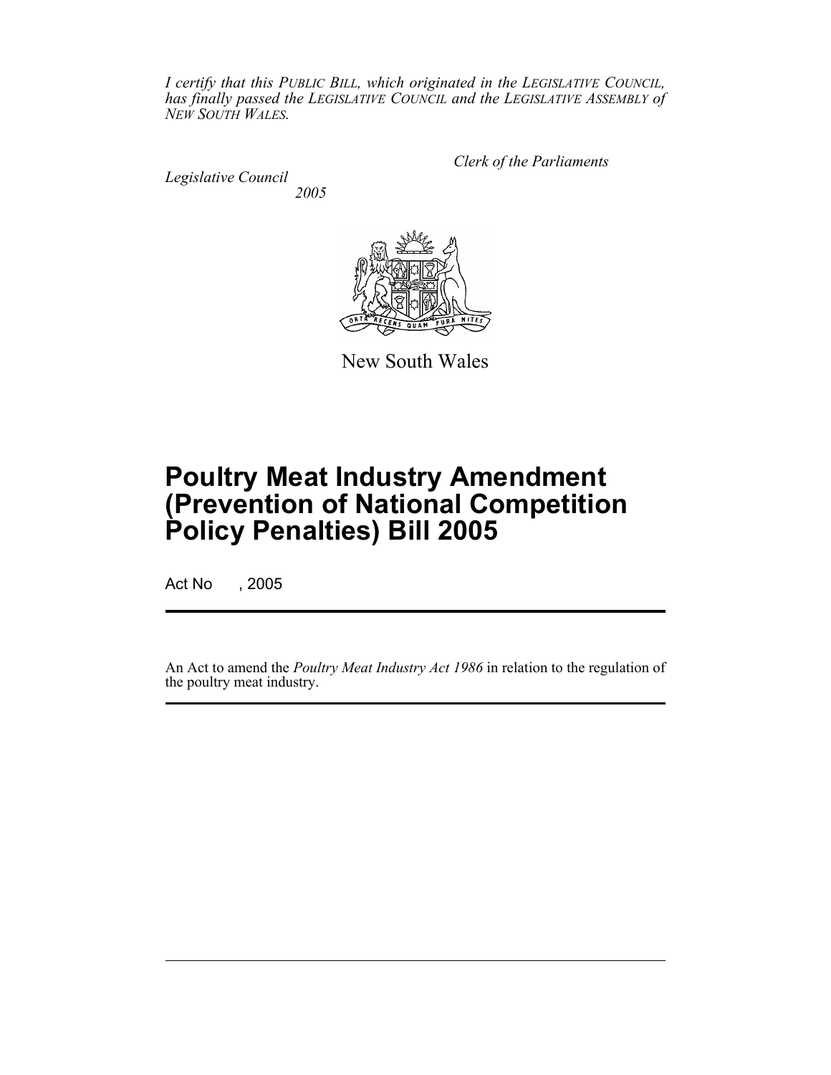*I certify that this PUBLIC BILL, which originated in the LEGISLATIVE COUNCIL, has finally passed the LEGISLATIVE COUNCIL and the LEGISLATIVE ASSEMBLY of NEW SOUTH WALES.*

*Legislative Council*

*Clerk of the Parliaments*

*2005*



New South Wales

# **Poultry Meat Industry Amendment (Prevention of National Competition Policy Penalties) Bill 2005**

Act No , 2005

An Act to amend the *Poultry Meat Industry Act 1986* in relation to the regulation of the poultry meat industry.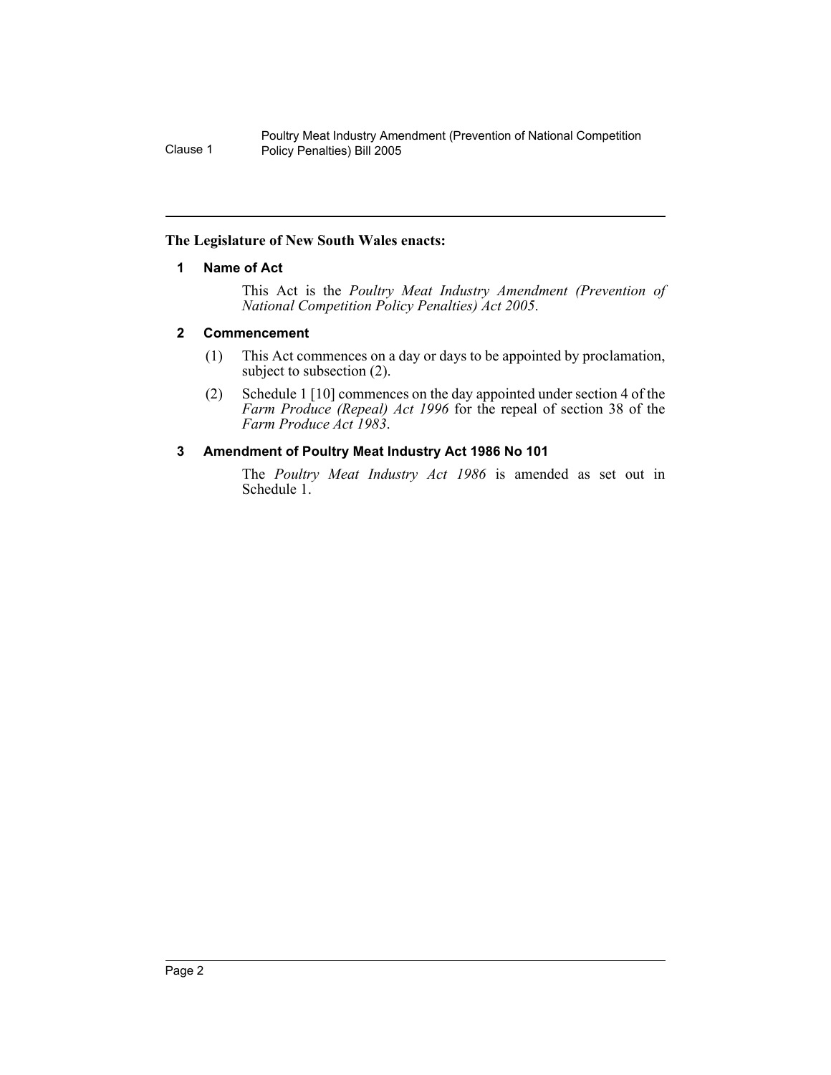#### **The Legislature of New South Wales enacts:**

#### **1 Name of Act**

This Act is the *Poultry Meat Industry Amendment (Prevention of National Competition Policy Penalties) Act 2005*.

#### **2 Commencement**

- (1) This Act commences on a day or days to be appointed by proclamation, subject to subsection (2).
- (2) Schedule 1 [10] commences on the day appointed under section 4 of the *Farm Produce (Repeal) Act 1996* for the repeal of section 38 of the *Farm Produce Act 1983*.

#### **3 Amendment of Poultry Meat Industry Act 1986 No 101**

The *Poultry Meat Industry Act 1986* is amended as set out in Schedule 1.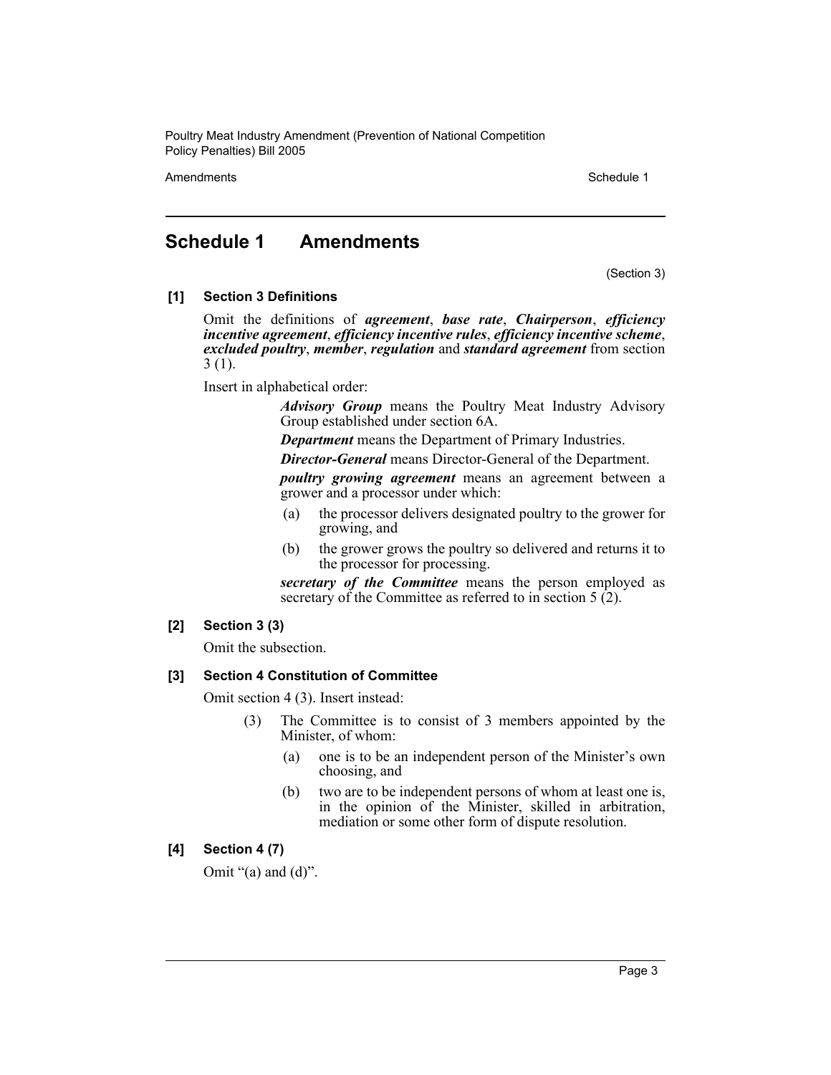Amendments **Schedule 1** and the 1990 state 1 and 1990 state 1 and 1990 state 1 and 1990 state 1 and 1990 state 1

### **Schedule 1 Amendments**

(Section 3)

#### **[1] Section 3 Definitions**

Omit the definitions of *agreement*, *base rate*, *Chairperson*, *efficiency incentive agreement*, *efficiency incentive rules*, *efficiency incentive scheme*, *excluded poultry*, *member*, *regulation* and *standard agreement* from section 3 (1).

Insert in alphabetical order:

*Advisory Group* means the Poultry Meat Industry Advisory Group established under section 6A.

*Department* means the Department of Primary Industries.

*Director-General* means Director-General of the Department.

*poultry growing agreement* means an agreement between a grower and a processor under which:

- (a) the processor delivers designated poultry to the grower for growing, and
- (b) the grower grows the poultry so delivered and returns it to the processor for processing.

*secretary of the Committee* means the person employed as secretary of the Committee as referred to in section 5  $(2)$ .

#### **[2] Section 3 (3)**

Omit the subsection.

#### **[3] Section 4 Constitution of Committee**

Omit section 4 (3). Insert instead:

- (3) The Committee is to consist of 3 members appointed by the Minister, of whom:
	- (a) one is to be an independent person of the Minister's own choosing, and
	- (b) two are to be independent persons of whom at least one is, in the opinion of the Minister, skilled in arbitration, mediation or some other form of dispute resolution.

#### **[4] Section 4 (7)**

Omit " $(a)$  and  $(d)$ ".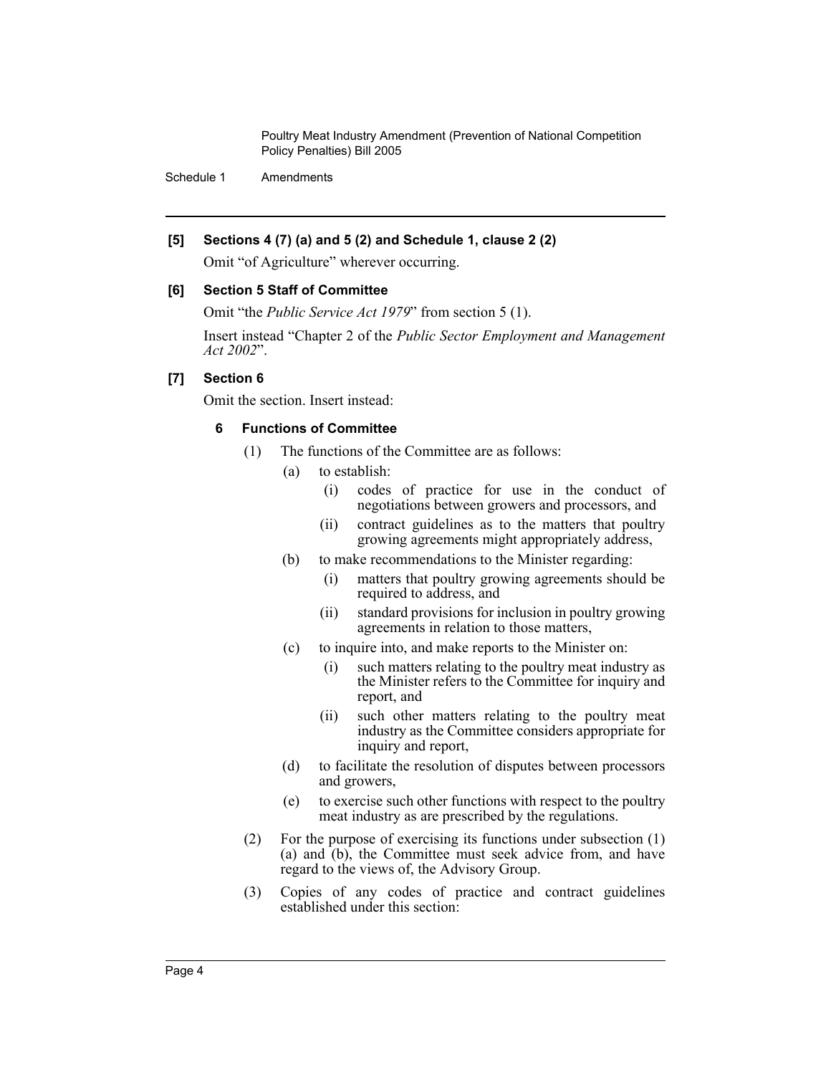Schedule 1 Amendments

#### **[5] Sections 4 (7) (a) and 5 (2) and Schedule 1, clause 2 (2)**

Omit "of Agriculture" wherever occurring.

#### **[6] Section 5 Staff of Committee**

Omit "the *Public Service Act 1979*" from section 5 (1).

Insert instead "Chapter 2 of the *Public Sector Employment and Management Act 2002*".

#### **[7] Section 6**

Omit the section. Insert instead:

#### **6 Functions of Committee**

- (1) The functions of the Committee are as follows:
	- (a) to establish:
		- (i) codes of practice for use in the conduct of negotiations between growers and processors, and
		- (ii) contract guidelines as to the matters that poultry growing agreements might appropriately address,
	- (b) to make recommendations to the Minister regarding:
		- (i) matters that poultry growing agreements should be required to address, and
		- (ii) standard provisions for inclusion in poultry growing agreements in relation to those matters,
	- (c) to inquire into, and make reports to the Minister on:
		- (i) such matters relating to the poultry meat industry as the Minister refers to the Committee for inquiry and report, and
		- (ii) such other matters relating to the poultry meat industry as the Committee considers appropriate for inquiry and report,
	- (d) to facilitate the resolution of disputes between processors and growers,
	- (e) to exercise such other functions with respect to the poultry meat industry as are prescribed by the regulations.
- (2) For the purpose of exercising its functions under subsection (1) (a) and (b), the Committee must seek advice from, and have regard to the views of, the Advisory Group.
- (3) Copies of any codes of practice and contract guidelines established under this section: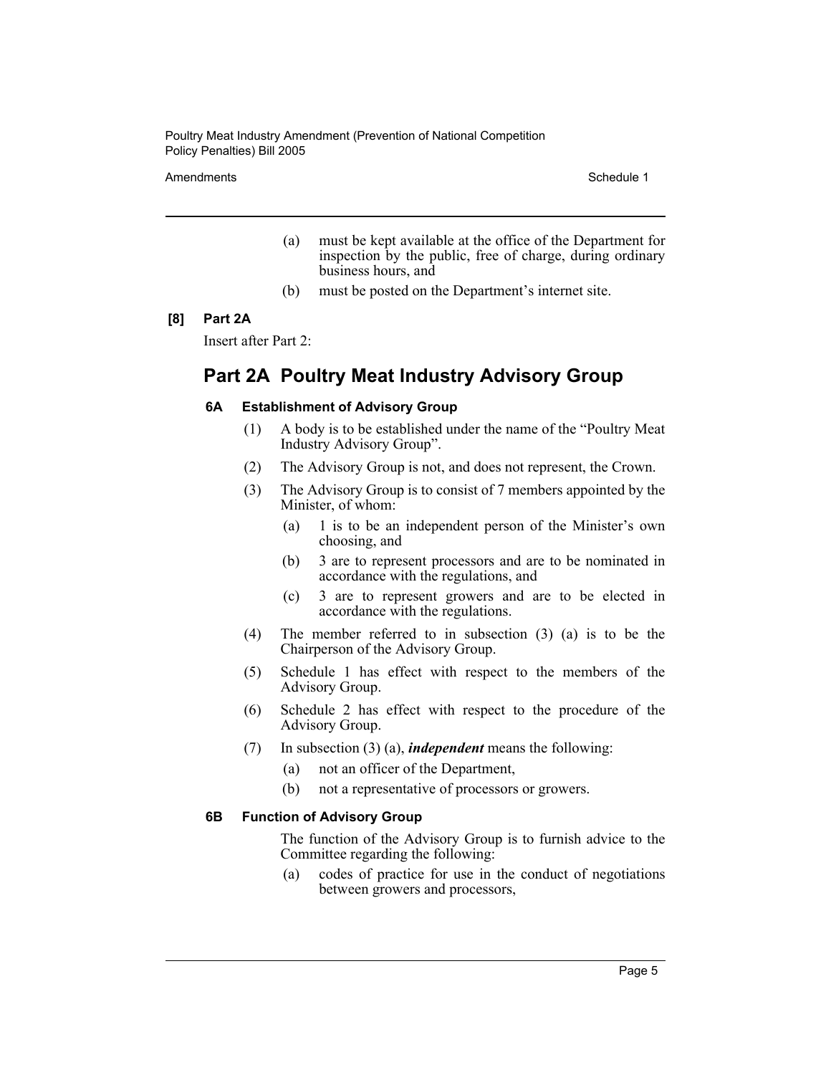Amendments **Schedule 1** and the 1990 state 1 and 1990 state 1 and 1990 state 1 and 1990 state 1 and 1990 state 1

- (a) must be kept available at the office of the Department for inspection by the public, free of charge, during ordinary business hours, and
- (b) must be posted on the Department's internet site.

#### **[8] Part 2A**

Insert after Part 2:

## **Part 2A Poultry Meat Industry Advisory Group**

#### **6A Establishment of Advisory Group**

- (1) A body is to be established under the name of the "Poultry Meat Industry Advisory Group".
- (2) The Advisory Group is not, and does not represent, the Crown.
- (3) The Advisory Group is to consist of 7 members appointed by the Minister, of whom:
	- (a) 1 is to be an independent person of the Minister's own choosing, and
	- (b) 3 are to represent processors and are to be nominated in accordance with the regulations, and
	- (c) 3 are to represent growers and are to be elected in accordance with the regulations.
- (4) The member referred to in subsection (3) (a) is to be the Chairperson of the Advisory Group.
- (5) Schedule 1 has effect with respect to the members of the Advisory Group.
- (6) Schedule 2 has effect with respect to the procedure of the Advisory Group.
- (7) In subsection (3) (a), *independent* means the following:
	- (a) not an officer of the Department,
	- (b) not a representative of processors or growers.

#### **6B Function of Advisory Group**

The function of the Advisory Group is to furnish advice to the Committee regarding the following:

(a) codes of practice for use in the conduct of negotiations between growers and processors,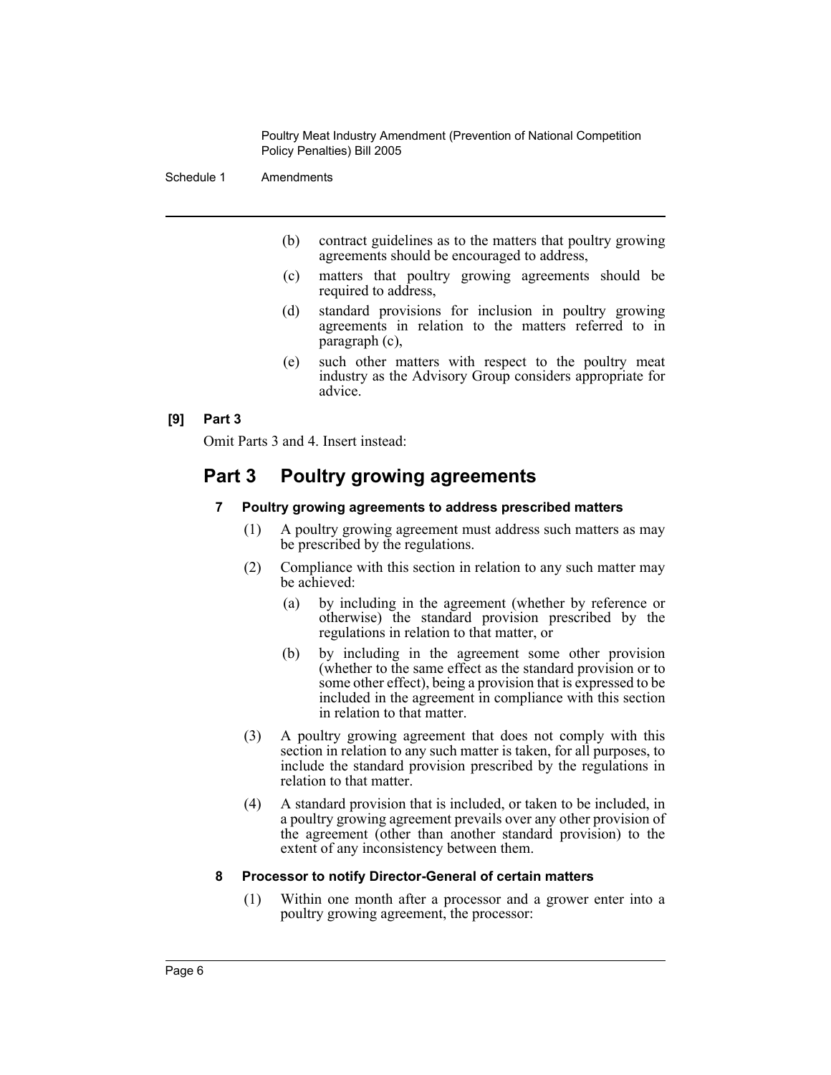Schedule 1 Amendments

- (b) contract guidelines as to the matters that poultry growing agreements should be encouraged to address,
- (c) matters that poultry growing agreements should be required to address,
- (d) standard provisions for inclusion in poultry growing agreements in relation to the matters referred to in paragraph (c),
- (e) such other matters with respect to the poultry meat industry as the Advisory Group considers appropriate for advice.

#### **[9] Part 3**

Omit Parts 3 and 4. Insert instead:

## **Part 3 Poultry growing agreements**

#### **7 Poultry growing agreements to address prescribed matters**

- (1) A poultry growing agreement must address such matters as may be prescribed by the regulations.
- (2) Compliance with this section in relation to any such matter may be achieved:
	- (a) by including in the agreement (whether by reference or otherwise) the standard provision prescribed by the regulations in relation to that matter, or
	- (b) by including in the agreement some other provision (whether to the same effect as the standard provision or to some other effect), being a provision that is expressed to be included in the agreement in compliance with this section in relation to that matter.
- (3) A poultry growing agreement that does not comply with this section in relation to any such matter is taken, for all purposes, to include the standard provision prescribed by the regulations in relation to that matter.
- (4) A standard provision that is included, or taken to be included, in a poultry growing agreement prevails over any other provision of the agreement (other than another standard provision) to the extent of any inconsistency between them.

#### **8 Processor to notify Director-General of certain matters**

(1) Within one month after a processor and a grower enter into a poultry growing agreement, the processor: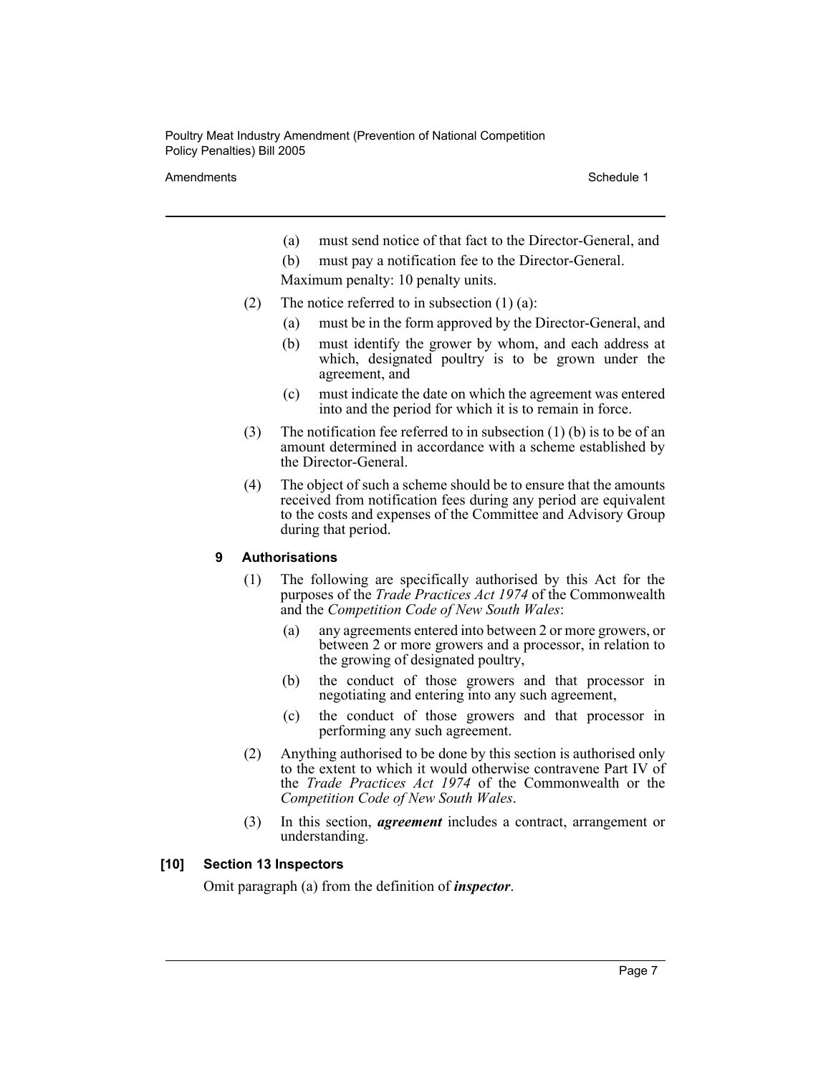Amendments **Schedule 1** and the 1990 state 1 and 1990 state 1 and 1990 state 1 and 1990 state 1 and 1990 state 1

(a) must send notice of that fact to the Director-General, and

(b) must pay a notification fee to the Director-General.

Maximum penalty: 10 penalty units.

- (2) The notice referred to in subsection  $(1)$   $(a)$ :
	- (a) must be in the form approved by the Director-General, and
	- (b) must identify the grower by whom, and each address at which, designated poultry is to be grown under the agreement, and
	- (c) must indicate the date on which the agreement was entered into and the period for which it is to remain in force.
- (3) The notification fee referred to in subsection  $(1)$  (b) is to be of an amount determined in accordance with a scheme established by the Director-General.
- (4) The object of such a scheme should be to ensure that the amounts received from notification fees during any period are equivalent to the costs and expenses of the Committee and Advisory Group during that period.

#### **9 Authorisations**

- (1) The following are specifically authorised by this Act for the purposes of the *Trade Practices Act 1974* of the Commonwealth and the *Competition Code of New South Wales*:
	- (a) any agreements entered into between 2 or more growers, or between 2 or more growers and a processor, in relation to the growing of designated poultry,
	- (b) the conduct of those growers and that processor in negotiating and entering into any such agreement,
	- (c) the conduct of those growers and that processor in performing any such agreement.
- (2) Anything authorised to be done by this section is authorised only to the extent to which it would otherwise contravene Part IV of the *Trade Practices Act 1974* of the Commonwealth or the *Competition Code of New South Wales*.
- (3) In this section, *agreement* includes a contract, arrangement or understanding.

#### **[10] Section 13 Inspectors**

Omit paragraph (a) from the definition of *inspector*.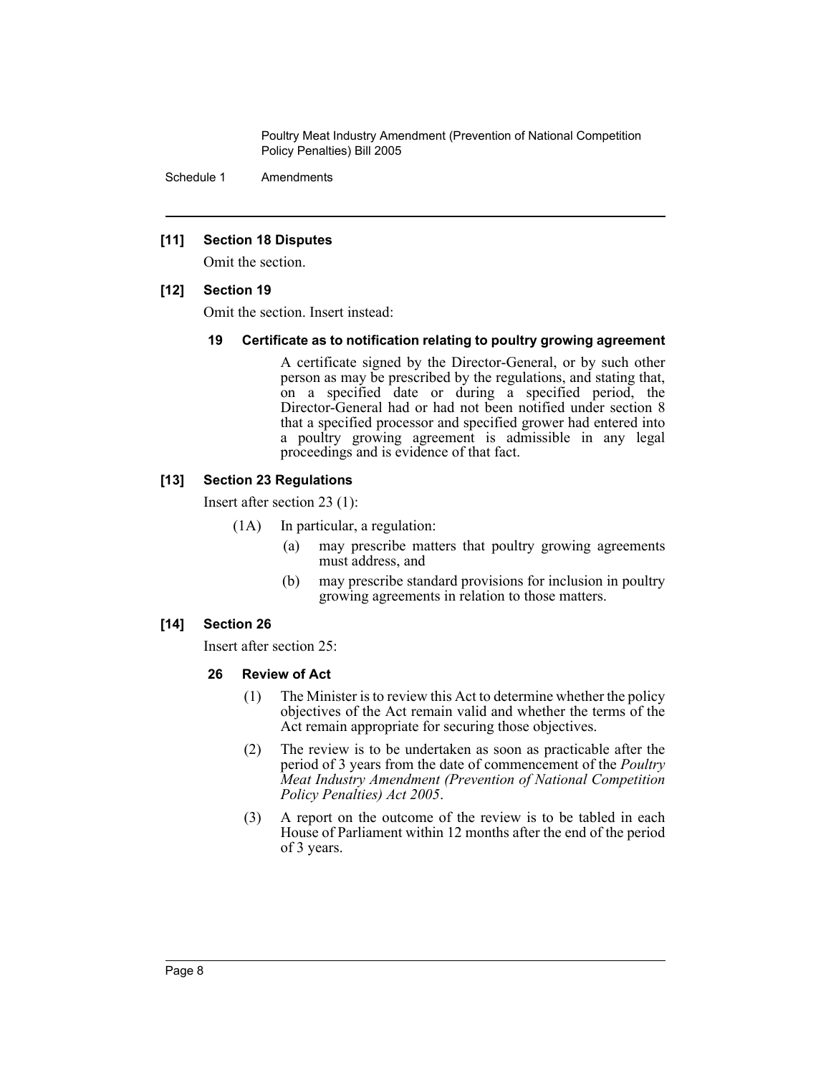Schedule 1 Amendments

#### **[11] Section 18 Disputes**

Omit the section.

#### **[12] Section 19**

Omit the section. Insert instead:

#### **19 Certificate as to notification relating to poultry growing agreement**

A certificate signed by the Director-General, or by such other person as may be prescribed by the regulations, and stating that, on a specified date or during a specified period, the Director-General had or had not been notified under section 8 that a specified processor and specified grower had entered into a poultry growing agreement is admissible in any legal proceedings and is evidence of that fact.

#### **[13] Section 23 Regulations**

Insert after section 23 (1):

- (1A) In particular, a regulation:
	- (a) may prescribe matters that poultry growing agreements must address, and
	- (b) may prescribe standard provisions for inclusion in poultry growing agreements in relation to those matters.

#### **[14] Section 26**

Insert after section 25:

#### **26 Review of Act**

- (1) The Minister is to review this Act to determine whether the policy objectives of the Act remain valid and whether the terms of the Act remain appropriate for securing those objectives.
- (2) The review is to be undertaken as soon as practicable after the period of 3 years from the date of commencement of the *Poultry Meat Industry Amendment (Prevention of National Competition Policy Penalties) Act 2005*.
- (3) A report on the outcome of the review is to be tabled in each House of Parliament within 12 months after the end of the period of 3 years.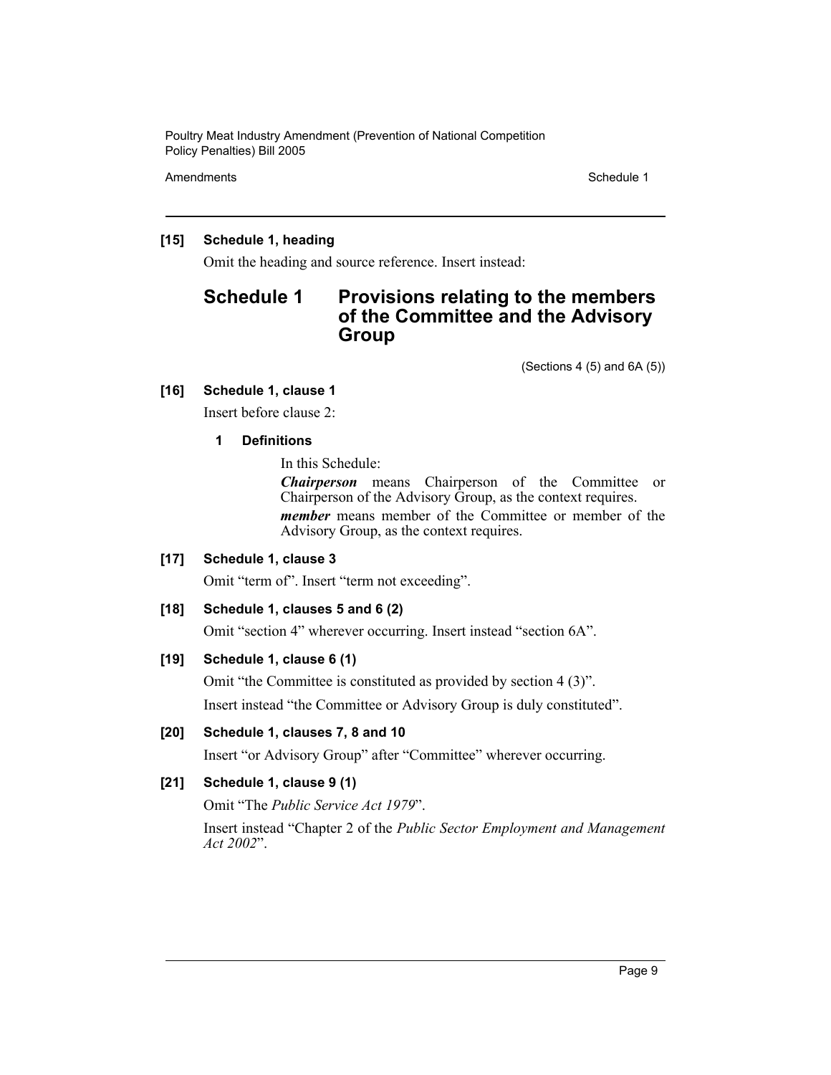Amendments **Schedule 1** and the 1990 state 1 and 1990 state 1 and 1990 state 1 and 1990 state 1 and 1990 state 1

#### **[15] Schedule 1, heading**

Omit the heading and source reference. Insert instead:

## **Schedule 1 Provisions relating to the members of the Committee and the Advisory Group**

(Sections 4 (5) and 6A (5))

#### **[16] Schedule 1, clause 1**

Insert before clause 2:

#### **1 Definitions**

In this Schedule:

*Chairperson* means Chairperson of the Committee or Chairperson of the Advisory Group, as the context requires. *member* means member of the Committee or member of the Advisory Group, as the context requires.

#### **[17] Schedule 1, clause 3**

Omit "term of". Insert "term not exceeding".

#### **[18] Schedule 1, clauses 5 and 6 (2)**

Omit "section 4" wherever occurring. Insert instead "section 6A".

#### **[19] Schedule 1, clause 6 (1)**

Omit "the Committee is constituted as provided by section 4 (3)". Insert instead "the Committee or Advisory Group is duly constituted".

#### **[20] Schedule 1, clauses 7, 8 and 10**

Insert "or Advisory Group" after "Committee" wherever occurring.

#### **[21] Schedule 1, clause 9 (1)**

Omit "The *Public Service Act 1979*".

Insert instead "Chapter 2 of the *Public Sector Employment and Management Act 2002*".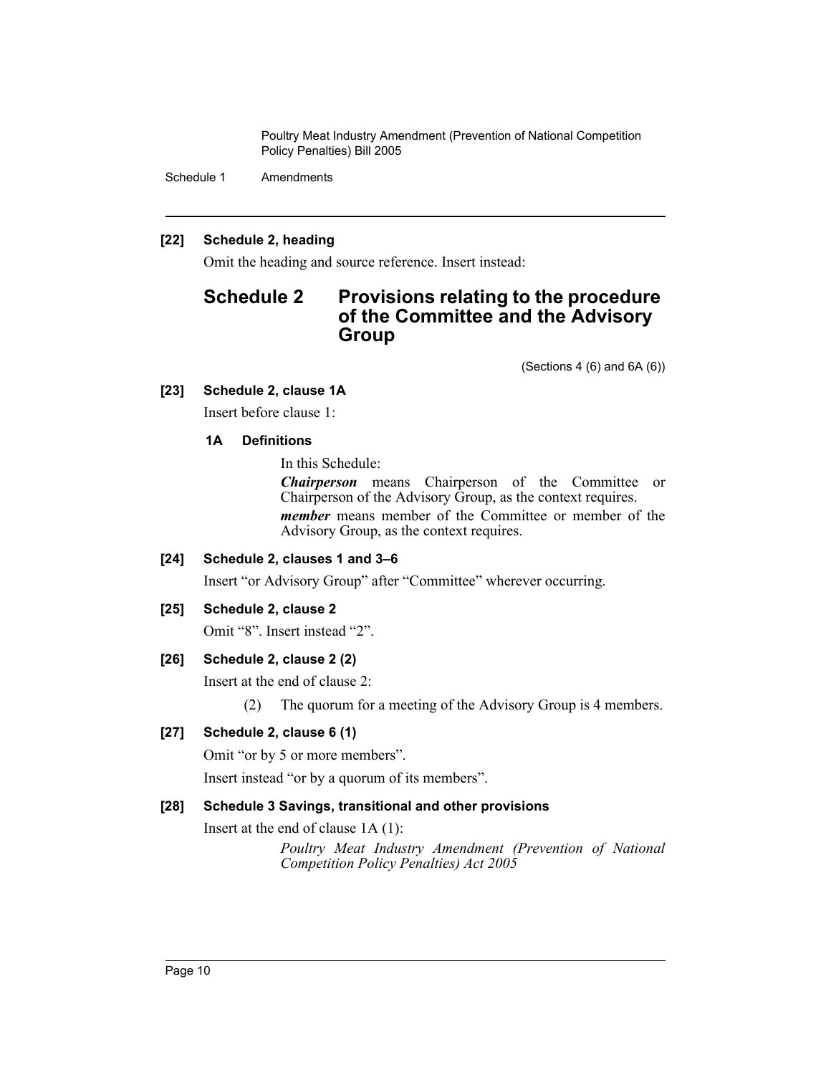Schedule 1 Amendments

#### **[22] Schedule 2, heading**

Omit the heading and source reference. Insert instead:

## **Schedule 2 Provisions relating to the procedure of the Committee and the Advisory Group**

(Sections 4 (6) and 6A (6))

#### **[23] Schedule 2, clause 1A**

Insert before clause 1:

#### **1A Definitions**

In this Schedule:

*Chairperson* means Chairperson of the Committee or Chairperson of the Advisory Group, as the context requires. *member* means member of the Committee or member of the Advisory Group, as the context requires.

#### **[24] Schedule 2, clauses 1 and 3–6**

Insert "or Advisory Group" after "Committee" wherever occurring.

#### **[25] Schedule 2, clause 2**

Omit "8". Insert instead "2".

#### **[26] Schedule 2, clause 2 (2)**

Insert at the end of clause 2:

(2) The quorum for a meeting of the Advisory Group is 4 members.

#### **[27] Schedule 2, clause 6 (1)**

Omit "or by 5 or more members".

Insert instead "or by a quorum of its members".

#### **[28] Schedule 3 Savings, transitional and other provisions**

Insert at the end of clause 1A (1):

*Poultry Meat Industry Amendment (Prevention of National Competition Policy Penalties) Act 2005*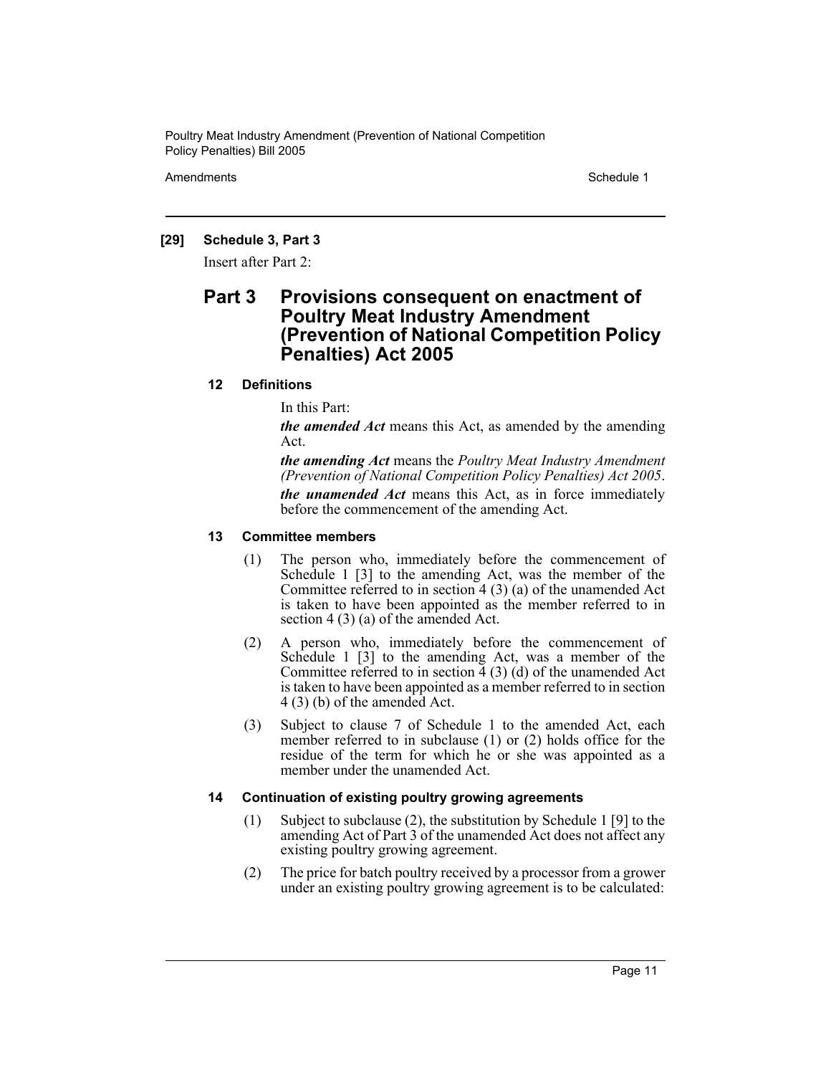Amendments **Schedule 1** and the 1990 state 1 and 1990 state 1 and 1990 state 1 and 1990 state 1 and 1990 state 1

#### **[29] Schedule 3, Part 3**

Insert after Part 2:

### **Part 3 Provisions consequent on enactment of Poultry Meat Industry Amendment (Prevention of National Competition Policy Penalties) Act 2005**

#### **12 Definitions**

In this Part:

*the amended Act* means this Act, as amended by the amending Act.

*the amending Act* means the *Poultry Meat Industry Amendment (Prevention of National Competition Policy Penalties) Act 2005*. *the unamended Act* means this Act, as in force immediately before the commencement of the amending Act.

#### **13 Committee members**

- (1) The person who, immediately before the commencement of Schedule 1 [3] to the amending Act, was the member of the Committee referred to in section  $4(3)(a)$  of the unamended Act is taken to have been appointed as the member referred to in section 4 (3) (a) of the amended Act.
- (2) A person who, immediately before the commencement of Schedule 1 [3] to the amending Act, was a member of the Committee referred to in section  $\overline{4}$  (3) (d) of the unamended Act is taken to have been appointed as a member referred to in section 4 (3) (b) of the amended Act.
- (3) Subject to clause 7 of Schedule 1 to the amended Act, each member referred to in subclause (1) or (2) holds office for the residue of the term for which he or she was appointed as a member under the unamended Act.

#### **14 Continuation of existing poultry growing agreements**

- (1) Subject to subclause (2), the substitution by Schedule 1 [9] to the amending Act of Part 3 of the unamended Act does not affect any existing poultry growing agreement.
- (2) The price for batch poultry received by a processor from a grower under an existing poultry growing agreement is to be calculated: